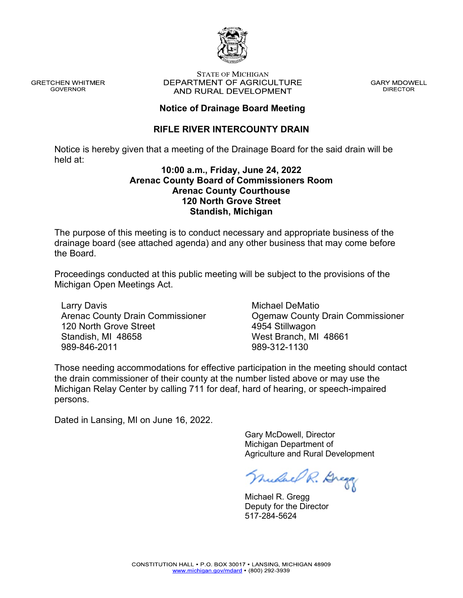

**GRETCHEN WHITMER GOVERNOR** 

#### **STATE OF MICHIGAN** DEPARTMENT OF AGRICULTURE AND RURAL DEVELOPMENT

**GARY MDOWELL DIRECTOR** 

### **Notice of Drainage Board Meeting**

## **RIFLE RIVER INTERCOUNTY DRAIN**

Notice is hereby given that a meeting of the Drainage Board for the said drain will be held at:

#### **10:00 a.m., Friday, June 24, 2022 Arenac County Board of Commissioners Room Arenac County Courthouse 120 North Grove Street Standish, Michigan**

The purpose of this meeting is to conduct necessary and appropriate business of the drainage board (see attached agenda) and any other business that may come before the Board.

Proceedings conducted at this public meeting will be subject to the provisions of the Michigan Open Meetings Act.

Larry Davis Arenac County Drain Commissioner 120 North Grove Street Standish, MI 48658 989-846-2011

Michael DeMatio Ogemaw County Drain Commissioner 4954 Stillwagon West Branch, MI 48661 989-312-1130

Those needing accommodations for effective participation in the meeting should contact the drain commissioner of their county at the number listed above or may use the Michigan Relay Center by calling 711 for deaf, hard of hearing, or speech-impaired persons.

Dated in Lansing, MI on June 16, 2022.

 Gary McDowell, Director Michigan Department of Agriculture and Rural Development

nudae R. Dregg

 Michael R. Gregg Deputy for the Director 517-284-5624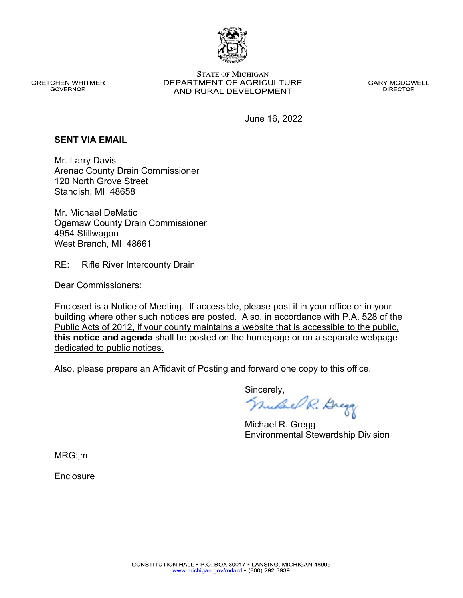

**GRETCHEN WHITMER GOVERNOR** 

**STATE OF MICHIGAN** DEPARTMENT OF AGRICULTURE AND RURAL DEVELOPMENT

**GARY MCDOWELL DIRECTOR** 

June 16, 2022

#### **SENT VIA EMAIL**

Mr. Larry Davis Arenac County Drain Commissioner 120 North Grove Street Standish, MI 48658

Mr. Michael DeMatio Ogemaw County Drain Commissioner 4954 Stillwagon West Branch, MI 48661

RE: Rifle River Intercounty Drain

Dear Commissioners:

Enclosed is a Notice of Meeting. If accessible, please post it in your office or in your building where other such notices are posted. Also, in accordance with P.A. 528 of the Public Acts of 2012, if your county maintains a website that is accessible to the public, **this notice and agenda** shall be posted on the homepage or on a separate webpage dedicated to public notices.

Also, please prepare an Affidavit of Posting and forward one copy to this office.

Sincerely,<br>*Mulael R. Brega* 

 Michael R. Gregg Environmental Stewardship Division

MRG:jm

**Enclosure**